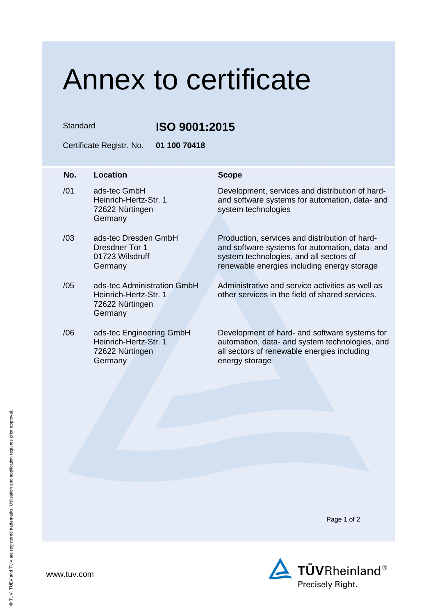## Annex to certificate

Standard **ISO 9001:2015**

Certificate Registr. No. **01 100 70418**

Germany

## **No.** Location **Scope** /01 ads-tec GmbH Heinrich-Hertz-Str. 1 72622 Nürtingen Germany Development, services and distribution of hardand software systems for automation, data- and system technologies /03 ads-tec Dresden GmbH Dresdner Tor 1 01723 Wilsdruff **Germany** Production, services and distribution of hardand software systems for automation, data- and system technologies, and all sectors of renewable energies including energy storage /05 ads-tec Administration GmbH Heinrich-Hertz-Str. 1 72622 Nürtingen **Germany** Administrative and service activities as well as other services in the field of shared services. /06 ads-tec Engineering GmbH Heinrich-Hertz-Str. 1 72622 Nürtingen Development of hard- and software systems for automation, data- and system technologies, and all sectors of renewable energies including

energy storage

Page 1 of 2